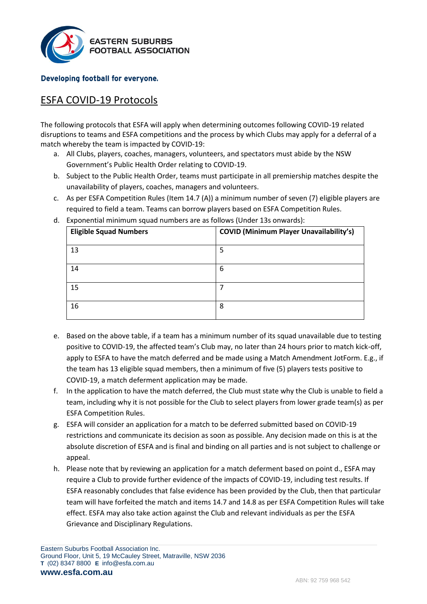

## Developing football for everyone.

## ESFA COVID-19 Protocols

The following protocols that ESFA will apply when determining outcomes following COVID-19 related disruptions to teams and ESFA competitions and the process by which Clubs may apply for a deferral of a match whereby the team is impacted by COVID-19:

- a. All Clubs, players, coaches, managers, volunteers, and spectators must abide by the NSW Government's Public Health Order relating to COVID-19.
- b. Subject to the Public Health Order, teams must participate in all premiership matches despite the unavailability of players, coaches, managers and volunteers.
- c. As per ESFA Competition Rules (Item 14.7 (A)) a minimum number of seven (7) eligible players are required to field a team. Teams can borrow players based on ESFA Competition Rules.

| <b>Eligible Squad Numbers</b> | <b>COVID (Minimum Player Unavailability's)</b> |
|-------------------------------|------------------------------------------------|
| 13                            | 5                                              |
| 14                            | 6                                              |
| 15                            | 7                                              |
| 16                            | 8                                              |

d. Exponential minimum squad numbers are as follows (Under 13s onwards):

- e. Based on the above table, if a team has a minimum number of its squad unavailable due to testing positive to COVID-19, the affected team's Club may, no later than 24 hours prior to match kick-off, apply to ESFA to have the match deferred and be made using a Match Amendment JotForm. E.g., if the team has 13 eligible squad members, then a minimum of five (5) players tests positive to COVID-19, a match deferment application may be made.
- f. In the application to have the match deferred, the Club must state why the Club is unable to field a team, including why it is not possible for the Club to select players from lower grade team(s) as per ESFA Competition Rules.
- g. ESFA will consider an application for a match to be deferred submitted based on COVID-19 restrictions and communicate its decision as soon as possible. Any decision made on this is at the absolute discretion of ESFA and is final and binding on all parties and is not subject to challenge or appeal.
- h. Please note that by reviewing an application for a match deferment based on point d., ESFA may require a Club to provide further evidence of the impacts of COVID-19, including test results. If ESFA reasonably concludes that false evidence has been provided by the Club, then that particular team will have forfeited the match and items 14.7 and 14.8 as per ESFA Competition Rules will take effect. ESFA may also take action against the Club and relevant individuals as per the ESFA Grievance and Disciplinary Regulations.